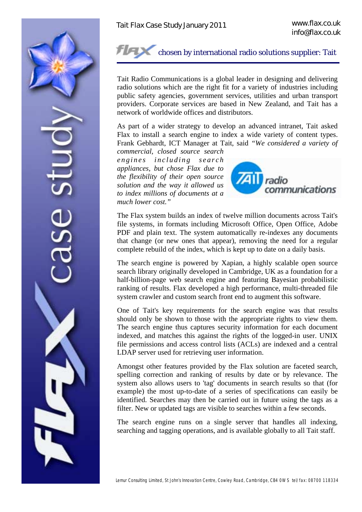

## chosen by international radio solutions supplier: Tait

Tait Radio Communications is a global leader in designing and delivering radio solutions which are the right fit for a variety of industries including public safety agencies, government services, utilities and urban transport providers. Corporate services are based in New Zealand, and Tait has a network of worldwide offices and distributors.

As part of a wider strategy to develop an advanced intranet, Tait asked Flax to install a search engine to index a wide variety of content types. Frank Gebhardt, ICT Manager at Tait, said *"We considered a variety of* 

*commercial, closed source search e n g i n e s i n c l u d i n g s e a r c h appliances, but chose Flax due to the flexibility of their open source solution and the way it allowed us to index millions of documents at a much lower cost."* 



The Flax system builds an index of twelve million documents across Tait's file systems, in formats including Microsoft Office, Open Office, Adobe PDF and plain text. The system automatically re-indexes any documents that change (or new ones that appear), removing the need for a regular complete rebuild of the index, which is kept up to date on a daily basis.

The search engine is powered by Xapian, a highly scalable open source search library originally developed in Cambridge, UK as a foundation for a half-billion-page web search engine and featuring Bayesian probabilistic ranking of results. Flax developed a high performance, multi-threaded file system crawler and custom search front end to augment this software.

One of Tait's key requirements for the search engine was that results should only be shown to those with the appropriate rights to view them. The search engine thus captures security information for each document indexed, and matches this against the rights of the logged-in user. UNIX file permissions and access control lists (ACLs) are indexed and a central LDAP server used for retrieving user information.

Amongst other features provided by the Flax solution are faceted search, spelling correction and ranking of results by date or by relevance. The system also allows users to 'tag' documents in search results so that (for example) the most up-to-date of a series of specifications can easily be identified. Searches may then be carried out in future using the tags as a filter. New or updated tags are visible to searches within a few seconds.

The search engine runs on a single server that handles all indexing, searching and tagging operations, and is available globally to all Tait staff.